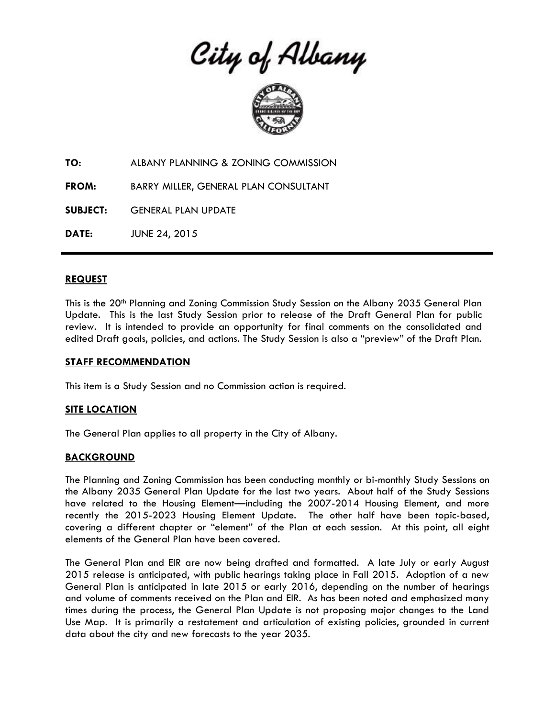City of Albany



**TO:** ALBANY PLANNING & ZONING COMMISSION

**FROM:** BARRY MILLER, GENERAL PLAN CONSULTANT

**SUBJECT:** GENERAL PLAN UPDATE

**DATE:** JUNE 24, 2015

## **REQUEST**

This is the 20<sup>th</sup> Planning and Zoning Commission Study Session on the Albany 2035 General Plan Update. This is the last Study Session prior to release of the Draft General Plan for public review. It is intended to provide an opportunity for final comments on the consolidated and edited Draft goals, policies, and actions. The Study Session is also a "preview" of the Draft Plan.

#### **STAFF RECOMMENDATION**

This item is a Study Session and no Commission action is required.

## **SITE LOCATION**

The General Plan applies to all property in the City of Albany.

## **BACKGROUND**

The Planning and Zoning Commission has been conducting monthly or bi-monthly Study Sessions on the Albany 2035 General Plan Update for the last two years. About half of the Study Sessions have related to the Housing Element—including the 2007-2014 Housing Element, and more recently the 2015-2023 Housing Element Update. The other half have been topic-based, covering a different chapter or "element" of the Plan at each session. At this point, all eight elements of the General Plan have been covered.

The General Plan and EIR are now being drafted and formatted. A late July or early August 2015 release is anticipated, with public hearings taking place in Fall 2015. Adoption of a new General Plan is anticipated in late 2015 or early 2016, depending on the number of hearings and volume of comments received on the Plan and EIR. As has been noted and emphasized many times during the process, the General Plan Update is not proposing major changes to the Land Use Map. It is primarily a restatement and articulation of existing policies, grounded in current data about the city and new forecasts to the year 2035.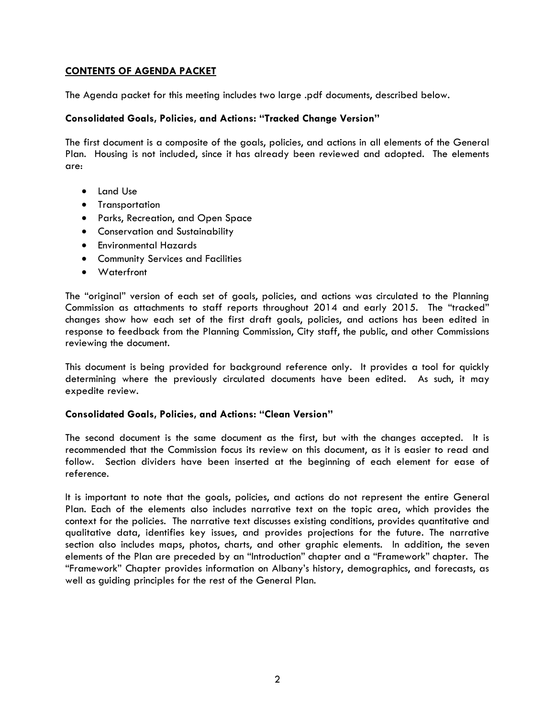# **CONTENTS OF AGENDA PACKET**

The Agenda packet for this meeting includes two large .pdf documents, described below.

# **Consolidated Goals, Policies, and Actions: "Tracked Change Version"**

The first document is a composite of the goals, policies, and actions in all elements of the General Plan. Housing is not included, since it has already been reviewed and adopted. The elements are:

- Land Use
- **•** Transportation
- Parks, Recreation, and Open Space
- Conservation and Sustainability
- Environmental Hazards
- Community Services and Facilities
- Waterfront

The "original" version of each set of goals, policies, and actions was circulated to the Planning Commission as attachments to staff reports throughout 2014 and early 2015. The "tracked" changes show how each set of the first draft goals, policies, and actions has been edited in response to feedback from the Planning Commission, City staff, the public, and other Commissions reviewing the document.

This document is being provided for background reference only. It provides a tool for quickly determining where the previously circulated documents have been edited. As such, it may expedite review.

## **Consolidated Goals, Policies, and Actions: "Clean Version"**

The second document is the same document as the first, but with the changes accepted. It is recommended that the Commission focus its review on this document, as it is easier to read and follow. Section dividers have been inserted at the beginning of each element for ease of reference.

It is important to note that the goals, policies, and actions do not represent the entire General Plan. Each of the elements also includes narrative text on the topic area, which provides the context for the policies. The narrative text discusses existing conditions, provides quantitative and qualitative data, identifies key issues, and provides projections for the future. The narrative section also includes maps, photos, charts, and other graphic elements. In addition, the seven elements of the Plan are preceded by an "Introduction" chapter and a "Framework" chapter. The "Framework" Chapter provides information on Albany's history, demographics, and forecasts, as well as guiding principles for the rest of the General Plan.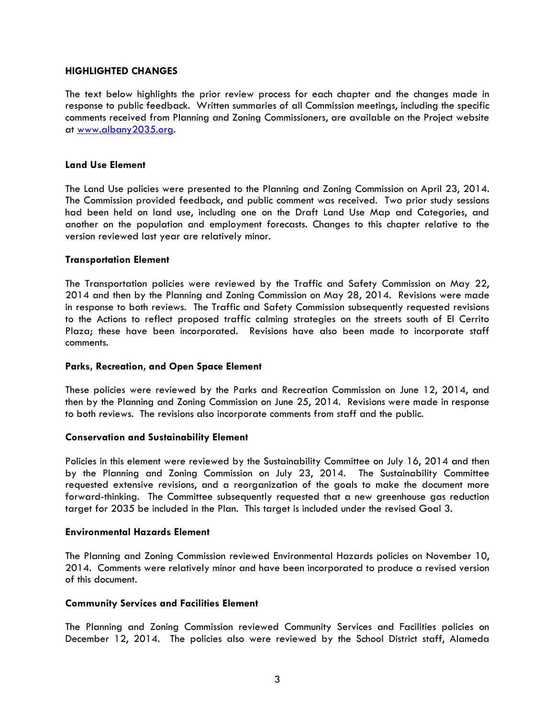### **HIGHLIGHTED CHANGES**

The text below highlights the prior review process for each chapter and the changes made in response to public feedback. Written summaries of all Commission meetings, including the specific comments received from Planning and Zoning Commissioners, are available on the Project website at [www.albany2035.org.](http://www.albany2035.org/)

### **Land Use Element**

The Land Use policies were presented to the Planning and Zoning Commission on April 23, 2014. The Commission provided feedback, and public comment was received. Two prior study sessions had been held on land use, including one on the Draft Land Use Map and Categories, and another on the population and employment forecasts. Changes to this chapter relative to the version reviewed last year are relatively minor.

### **Transportation Element**

The Transportation policies were reviewed by the Traffic and Safety Commission on May 22, 2014 and then by the Planning and Zoning Commission on May 28, 2014. Revisions were made in response to both reviews. The Traffic and Safety Commission subsequently requested revisions to the Actions to reflect proposed traffic calming strategies on the streets south of El Cerrito Plaza; these have been incorporated. Revisions have also been made to incorporate staff comments.

# **Parks, Recreation, and Open Space Element**

These policies were reviewed by the Parks and Recreation Commission on June 12, 2014, and then by the Planning and Zoning Commission on June 25, 2014. Revisions were made in response to both reviews. The revisions also incorporate comments from staff and the public.

#### **Conservation and Sustainability Element**

Policies in this element were reviewed by the Sustainability Committee on July 16, 2014 and then by the Planning and Zoning Commission on July 23, 2014. The Sustainability Committee requested extensive revisions, and a reorganization of the goals to make the document more forward-thinking. The Committee subsequently requested that a new greenhouse gas reduction target for 2035 be included in the Plan. This target is included under the revised Goal 3.

## **Environmental Hazards Element**

The Planning and Zoning Commission reviewed Environmental Hazards policies on November 10, 2014. Comments were relatively minor and have been incorporated to produce a revised version of this document.

#### **Community Services and Facilities Element**

The Planning and Zoning Commission reviewed Community Services and Facilities policies on December 12, 2014. The policies also were reviewed by the School District staff, Alameda